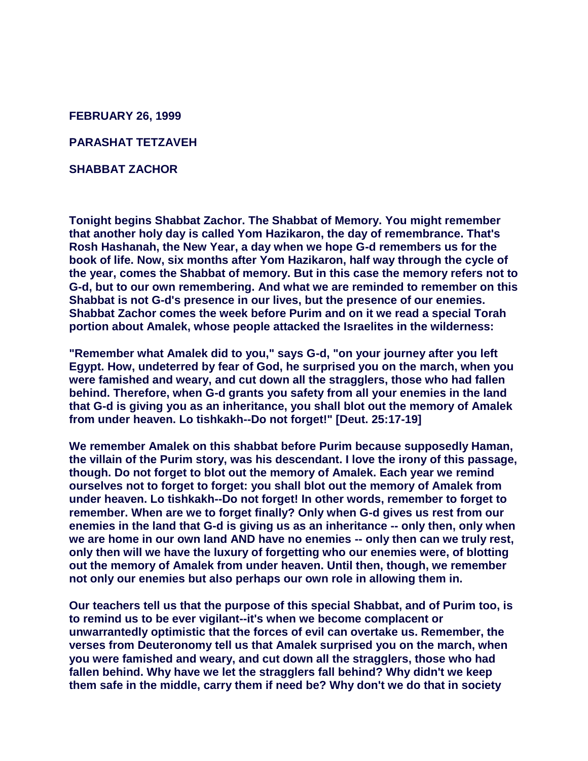**FEBRUARY 26, 1999**

**PARASHAT TETZAVEH**

**SHABBAT ZACHOR**

**Tonight begins Shabbat Zachor. The Shabbat of Memory. You might remember that another holy day is called Yom Hazikaron, the day of remembrance. That's Rosh Hashanah, the New Year, a day when we hope G-d remembers us for the book of life. Now, six months after Yom Hazikaron, half way through the cycle of the year, comes the Shabbat of memory. But in this case the memory refers not to G-d, but to our own remembering. And what we are reminded to remember on this Shabbat is not G-d's presence in our lives, but the presence of our enemies. Shabbat Zachor comes the week before Purim and on it we read a special Torah portion about Amalek, whose people attacked the Israelites in the wilderness:** 

**"Remember what Amalek did to you," says G-d, "on your journey after you left Egypt. How, undeterred by fear of God, he surprised you on the march, when you were famished and weary, and cut down all the stragglers, those who had fallen behind. Therefore, when G-d grants you safety from all your enemies in the land that G-d is giving you as an inheritance, you shall blot out the memory of Amalek from under heaven. Lo tishkakh--Do not forget!" [Deut. 25:17-19]** 

**We remember Amalek on this shabbat before Purim because supposedly Haman, the villain of the Purim story, was his descendant. I love the irony of this passage, though. Do not forget to blot out the memory of Amalek. Each year we remind ourselves not to forget to forget: you shall blot out the memory of Amalek from under heaven. Lo tishkakh--Do not forget! In other words, remember to forget to remember. When are we to forget finally? Only when G-d gives us rest from our enemies in the land that G-d is giving us as an inheritance -- only then, only when we are home in our own land AND have no enemies -- only then can we truly rest, only then will we have the luxury of forgetting who our enemies were, of blotting out the memory of Amalek from under heaven. Until then, though, we remember not only our enemies but also perhaps our own role in allowing them in.**

**Our teachers tell us that the purpose of this special Shabbat, and of Purim too, is to remind us to be ever vigilant--it's when we become complacent or unwarrantedly optimistic that the forces of evil can overtake us. Remember, the verses from Deuteronomy tell us that Amalek surprised you on the march, when you were famished and weary, and cut down all the stragglers, those who had fallen behind. Why have we let the stragglers fall behind? Why didn't we keep them safe in the middle, carry them if need be? Why don't we do that in society**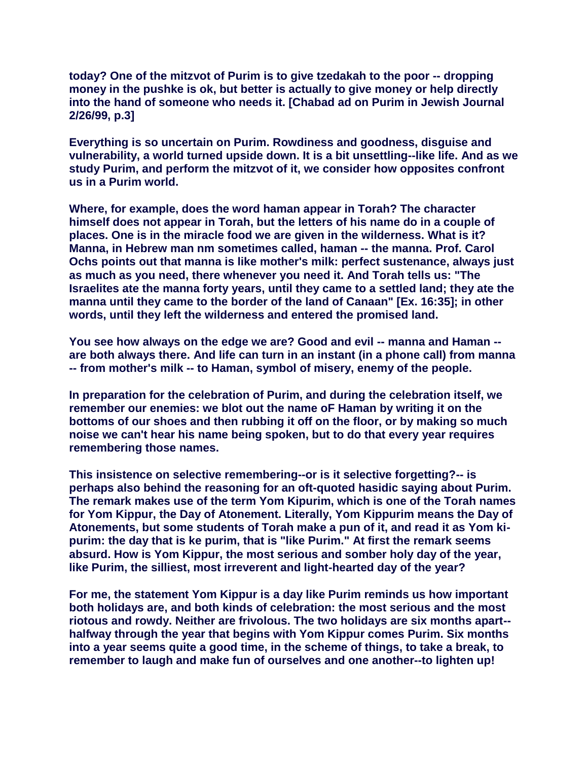**today? One of the mitzvot of Purim is to give tzedakah to the poor -- dropping money in the pushke is ok, but better is actually to give money or help directly into the hand of someone who needs it. [Chabad ad on Purim in Jewish Journal 2/26/99, p.3]**

**Everything is so uncertain on Purim. Rowdiness and goodness, disguise and vulnerability, a world turned upside down. It is a bit unsettling--like life. And as we study Purim, and perform the mitzvot of it, we consider how opposites confront us in a Purim world.**

**Where, for example, does the word haman appear in Torah? The character himself does not appear in Torah, but the letters of his name do in a couple of places. One is in the miracle food we are given in the wilderness. What is it? Manna, in Hebrew man nm sometimes called, haman -- the manna. Prof. Carol Ochs points out that manna is like mother's milk: perfect sustenance, always just as much as you need, there whenever you need it. And Torah tells us: "The Israelites ate the manna forty years, until they came to a settled land; they ate the manna until they came to the border of the land of Canaan" [Ex. 16:35]; in other words, until they left the wilderness and entered the promised land.** 

**You see how always on the edge we are? Good and evil -- manna and Haman - are both always there. And life can turn in an instant (in a phone call) from manna -- from mother's milk -- to Haman, symbol of misery, enemy of the people.**

**In preparation for the celebration of Purim, and during the celebration itself, we remember our enemies: we blot out the name oF Haman by writing it on the bottoms of our shoes and then rubbing it off on the floor, or by making so much noise we can't hear his name being spoken, but to do that every year requires remembering those names.** 

**This insistence on selective remembering--or is it selective forgetting?-- is perhaps also behind the reasoning for an oft-quoted hasidic saying about Purim. The remark makes use of the term Yom Kipurim, which is one of the Torah names for Yom Kippur, the Day of Atonement. Literally, Yom Kippurim means the Day of Atonements, but some students of Torah make a pun of it, and read it as Yom kipurim: the day that is ke purim, that is "like Purim." At first the remark seems absurd. How is Yom Kippur, the most serious and somber holy day of the year, like Purim, the silliest, most irreverent and light-hearted day of the year?** 

**For me, the statement Yom Kippur is a day like Purim reminds us how important both holidays are, and both kinds of celebration: the most serious and the most riotous and rowdy. Neither are frivolous. The two holidays are six months apart- halfway through the year that begins with Yom Kippur comes Purim. Six months into a year seems quite a good time, in the scheme of things, to take a break, to remember to laugh and make fun of ourselves and one another--to lighten up!**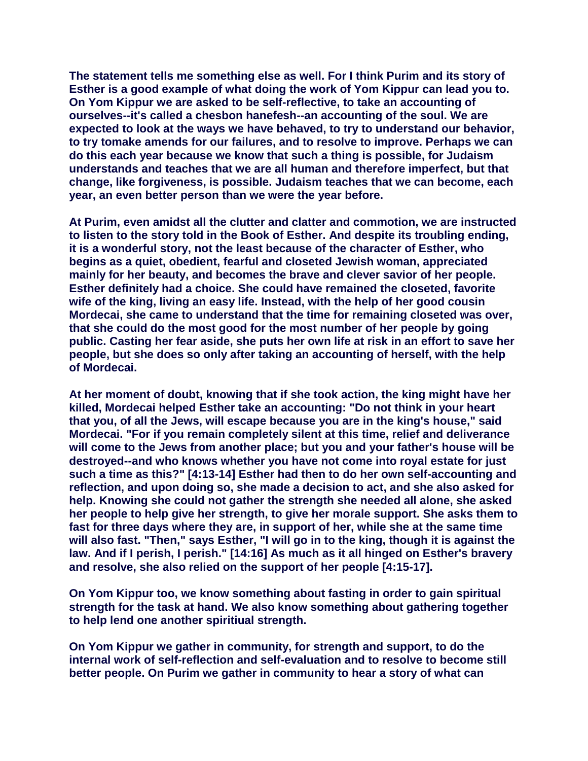**The statement tells me something else as well. For I think Purim and its story of Esther is a good example of what doing the work of Yom Kippur can lead you to. On Yom Kippur we are asked to be self-reflective, to take an accounting of ourselves--it's called a chesbon hanefesh--an accounting of the soul. We are expected to look at the ways we have behaved, to try to understand our behavior, to try tomake amends for our failures, and to resolve to improve. Perhaps we can do this each year because we know that such a thing is possible, for Judaism understands and teaches that we are all human and therefore imperfect, but that change, like forgiveness, is possible. Judaism teaches that we can become, each year, an even better person than we were the year before.** 

**At Purim, even amidst all the clutter and clatter and commotion, we are instructed to listen to the story told in the Book of Esther. And despite its troubling ending, it is a wonderful story, not the least because of the character of Esther, who begins as a quiet, obedient, fearful and closeted Jewish woman, appreciated mainly for her beauty, and becomes the brave and clever savior of her people. Esther definitely had a choice. She could have remained the closeted, favorite wife of the king, living an easy life. Instead, with the help of her good cousin Mordecai, she came to understand that the time for remaining closeted was over, that she could do the most good for the most number of her people by going public. Casting her fear aside, she puts her own life at risk in an effort to save her people, but she does so only after taking an accounting of herself, with the help of Mordecai.** 

**At her moment of doubt, knowing that if she took action, the king might have her killed, Mordecai helped Esther take an accounting: "Do not think in your heart that you, of all the Jews, will escape because you are in the king's house," said Mordecai. "For if you remain completely silent at this time, relief and deliverance will come to the Jews from another place; but you and your father's house will be destroyed--and who knows whether you have not come into royal estate for just such a time as this?" [4:13-14] Esther had then to do her own self-accounting and reflection, and upon doing so, she made a decision to act, and she also asked for help. Knowing she could not gather the strength she needed all alone, she asked her people to help give her strength, to give her morale support. She asks them to fast for three days where they are, in support of her, while she at the same time will also fast. "Then," says Esther, "I will go in to the king, though it is against the law. And if I perish, I perish." [14:16] As much as it all hinged on Esther's bravery and resolve, she also relied on the support of her people [4:15-17].**

**On Yom Kippur too, we know something about fasting in order to gain spiritual strength for the task at hand. We also know something about gathering together to help lend one another spiritiual strength.**

**On Yom Kippur we gather in community, for strength and support, to do the internal work of self-reflection and self-evaluation and to resolve to become still better people. On Purim we gather in community to hear a story of what can**